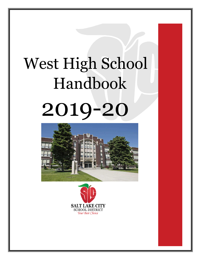# West High School Handbook 2019-20



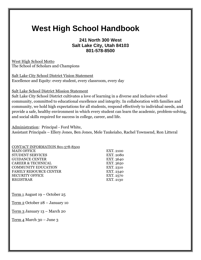# **West High School Handbook**

#### **241 North 300 West Salt Lake City, Utah 84103 801-578-8500**

West High School Motto The School of Scholars and Champions

Salt Lake City School District Vision Statement Excellence and Equity: every student, every classroom, every day

Salt Lake School District Mission Statement

Salt Lake City School District cultivates a love of learning in a diverse and inclusive school community, committed to educational excellence and integrity. In collaboration with families and community, we hold high expectations for all students, respond effectively to individual needs, and provide a safe, healthy environment in which every student can learn the academic, problem-solving, and social skills required for success in college, career, and life.

Administration: Principal - Ford White,

Assistant Principals – Ellery Jones, Ben Jones, Mele Taukeiaho, Rachel Townsend, Ron Litteral

| <b>EXT. 2100</b> |
|------------------|
| <b>EXT. 2080</b> |
| EXT. 3640        |
| EXT. 3650        |
| EXT. 2310        |
| EXT. 2340        |
| EXT. 2570        |
| EXT. 2130        |
|                  |

Term 1 August 19 – October 25

Term 2 October 28 – January 10

Term 3 January 13 – March 20

 $Term 4 March 30 - June 3$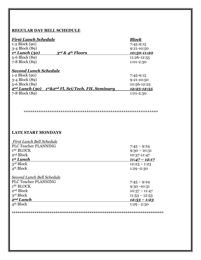#### **REGULAR DAY BELL SCHEDULE**

| <b>First Lunch Schedule</b>  |                                             | <b>Block</b>        |
|------------------------------|---------------------------------------------|---------------------|
| $1-2 \text{ Block}(90)$      |                                             | $7:45-9:15$         |
| 3-4 Block (89)               |                                             | $9:21-10:50$        |
| 1 <sup>st</sup> Lunch (30)   | $3rd$ & 4 <sup>th</sup> Floors              | 10:50-11:20         |
| 5-6 Block (89)               |                                             | 11:26-12:55         |
| 7-8 Block (89)               |                                             | 1:01-2:30           |
| <b>Second Lunch Schedule</b> |                                             |                     |
| $1-2 \text{ Block}(90)$      |                                             | $7:45-9:15$         |
| 3-4 Block (89)               |                                             | $9:21-10:50$        |
| 5-6 Block (89)               |                                             | 10:56-12:25         |
| 2 <sup>nd</sup> Lunch (30)   | $1^{st}\&2^{nd}$ Fl, Sci/Tech, FH, Seminary | <u> 12:25-12:55</u> |
| 7-8 Block (89)               |                                             | $1:01-2:30$         |

\*\*\*\*\*\*\*\*\*\*\*\*\*\*\*\*\*\*\*\*\*\*\*\*\*\*\*\*\*\*\*\*\*\*\*\*\*\*\*\*\*\*\*\*\*\*\*\*\*\*\*\*\*\*\*\*\*\*\*\*\*\*

#### **LATE START MONDAYS**

| <u>First Lunch Bell Schedule</u> |                      |
|----------------------------------|----------------------|
| <b>PLC Teacher PLANNING</b>      | $7:45 - 9:24$        |
| 1 <sup>ST</sup> BLOCK            | $9:30 - 10:31$       |
| 2 <sup>nd</sup> Block            | 10:37-11:47          |
| 1 <sup>st</sup> Lunch            | $11:47 - 12:17$      |
| 3 <sup>rd</sup> Block            | $12:23 - 1:23$       |
| 4 <sup>th</sup> Block            | $1:29 - 2:30$        |
| Second Lunch Bell Schedule       |                      |
| <b>PLC Teacher PLANNING</b>      | $7:45 - 9:24$        |
| 1 <sup>ST</sup> BLOCK            | $9:30 - 10:31$       |
| 2 <sup>nd</sup> Block            | $10:37 - 11:47$      |
| 3 <sup>rd</sup> Block            | $11:53 - 12:53$      |
| 2 <sup>nd</sup> Lunch            | <u> 12:53 – 1:23</u> |
| 4 <sup>th</sup> Block            | $1:29 - 2:30$        |
|                                  |                      |

**\*\*\*\*\*\*\*\*\*\*\*\*\*\*\*\*\*\*\*\*\*\*\*\*\*\*\*\*\*\*\*\*\*\*\*\*\*\*\*\*\*\*\*\*\*\*\*\*\*\*\*\*\*\*\*\*\*\*\*\*\*\*\*\*\*\*\*\*\*\*\*\*\*\*\*\*\*\*\*\***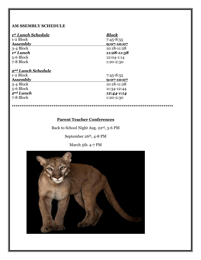#### **AM SSEMBLY SCHEDULE**

| 1st Lunch Schedule             | Block          |
|--------------------------------|----------------|
| 1-2 Block                      | $7:45 - 8:55$  |
| <b>Assembly</b>                | $9:07 - 10:07$ |
| 3-4 Block                      | 10:18-11:28    |
| 1 <sup>st</sup> Lunch          | 11:28-11:58    |
| 5-6 Block                      | 12:04-1:14     |
| 7-8 Block                      | 1:20-2:30      |
| 2 <sup>nd</sup> Lunch Schedule |                |
| 1-2 Block                      | $7:45 - 8:55$  |
| <b>Assembly</b>                | 9:07-10:07     |
| 3-4 Block                      | 10:18-11:28    |
| 5-6 Block                      | 11:34-12:44    |
| 2 <sup>nd</sup> Lunch          | 12:44-1:14     |
| 7-8 Block                      | 1:20-2:30      |

**\*\*\*\*\*\*\*\*\*\*\*\*\*\*\*\*\*\*\*\*\*\*\*\*\*\*\*\*\*\*\*\*\*\*\*\*\*\*\*\*\*\*\*\*\*\*\*\*\*\*\*\*\*\*\*\*\*\*\*\*\*\*\*\*\*\*\*\*\*\*\*\*\*\*\*\*\*\*\*\*\*\*\*\*\***

#### **Parent Teacher Conferences**

Back to School Night Aug. 22rd, 3-6 PM

September 26th, 4-8 PM

March 5th, 4-7 PM

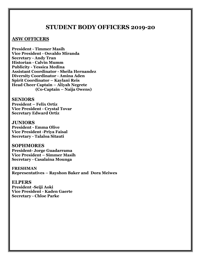#### **STUDENT BODY OFFICERS 2019-20**

#### **ASW OFFICERS**

**President - Timmer Masih Vice President - Osvaldo Miranda Secretary - Andy Tran Historian - Calvin Mumm Publicity - Yessica Medina Assistant Coordinator - Sheila Hernandez Diversity Coordinator - Amina Aden Spirit Coordinator – Kaylani Reis Head Cheer Captain – Aliyah Negrete (Co-Captain – Naija Owens)**

#### **SENIORS**

**President – Felix Ortiz Vice President - Crystal Tovar Secretary Edward Ortiz**

#### **JUNIORS**

**President - Emma Olive Vice President -Priya Faisal Secretary - Talaloa Sitauti**

#### **SOPHMORES**

**President- Jorge Guadarrama Vice President – Simmer Masih Secretary - Casalaina Mounga**

**FRESHMAN Representatives – Rayshon Baker and Dora Meiwes**

#### **ELPERS**

**President -Seiji Aoki Vice President - Kaden Gaerte Secretary - Chloe Parke**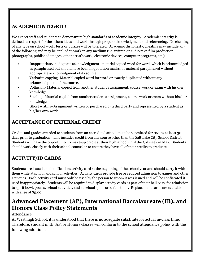#### **ACADEMIC INTEGRITY**

We expect staff and students to demonstrate high standards of academic integrity. Academic integrity is defined as respect for the others ideas and work through proper acknowledgment and referencing. No cheating of any type on school work, tests or quizzes will be tolerated. Academic dishonesty/cheating may include any of the following and may be applied to work in any medium (i.e. written or audio text, film production, photographs, published images, other artist's work, electronic devices, computer programs, etc.)

- Inappropriate/inadequate acknowledgment- material copied word for word, which is acknowledged as paraphrased but should have been in quotation marks, or material paraphrased without appropriate acknowledgment of its source.
- Verbatim copying- Material copied word for word or exactly duplicated without any acknowledgment of the source.
- Collusion- Material copied from another student's assignment, course work or exam with his/her knowledge.
- Stealing- Material copied from another student's assignment, course work or exam without his/her knowledge.
- Ghost writing- Assignment written or purchased by a third party and represented by a student as his/her own work.

#### **ACCEPTANCE OF EXTERNAL CREDIT**

Credits and grades awarded to students from an accredited school must be submitted for review at least 30 days prior to graduation. This includes credit from any source other than the Salt Lake City School District. Students will have the opportunity to make-up credit at their high school until the 3rd week in May. Students should work closely with their school counselor to ensure they have all of their credits to graduate.

# **ACTIVITY/ID CARDS**

Students are issued an identification/activity card at the beginning of the school year and should carry it with them while at school and school activities. Activity cards provide free or reduced admission to games and other activities. Each activity card must only be used by the person to whom it was issued and will be confiscated if used inappropriately. Students will be required to display activity cards as part of their hall pass, for admission to spirit bowl, proms, school activities, and at school sponsored functions. Replacement cards are available with a fee of \$5.00.

# **Advanced Placement (AP), International Baccalaureate (IB), and Honors Class Policy Statements**

#### Attendance

At West high School, it is understood that there is no adequate substitute for actual in-class time. Therefore, student in IB, AP, or Honors classes will conform to the school attendance policy with the following additions: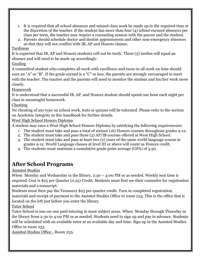- 1. It is required that all school absences and missed class work be made up in the required time at the discretion of the teacher. If the student has more than four (4) school excused absences per class per term, the teacher may require a counseling session with the parent and the student.
- 2. Parents should schedule doctor and dentist appointments and other non-emergency absences so that they will not conflict with IB, AP and Honors classes.

Tardiness

It is expected that IB, AP and Honors students will not be tardy. Three (3) tardies will equal an absence and will need to be made up accordingly.

#### Grading

A committed student who completes all work with excellence and turns in all work on time should earn an "A" or "B". If the grade earned is a "C" or less, the parents are strongly encouraged to meet with the teacher. The teacher and the parents will need to monitor the student and his/her work more closely.

#### Homework

It is understood that a successful IB, AP, and Honors student should spend one hour each night per class in meaningful homework.

#### Cheating

No cheating of any type on school work, tests or quizzes will be tolerated. Please refer to the section on Academic Integrity in this handbook for further details.

#### West High School Honors Diploma

A student may earn a West High School Honors Diploma by satisfying the following requirements:

- 1. The student must take and pass a total of sixteen (16) Honors courses throughout grades 9-12.
- 2. The student must take and pass three (3) AP/IB courses offered at West High School.
- 3. The student must take and pass at least two (2) years of the same world language course in grades 9-12. World Language classes at level III or above will count as Honors credit.
- 4. The students must maintain a cumulative grade point average (GPA) of 3.50.

# **After School Programs**

#### Assisted Studies

When: Monday and Wednesday in the library,  $2:30 - 4:00$  PM or as needed. Weekly seat time is required. Cost is \$25 per Quarter (0.25) Credit. Students must first see their counselor for registration materials and a transcript.

Students must then pay the Treasurer \$25 per quarter credit. Turn in completed registration materials and receipt of payment to the Assisted Studies Office in room 233. This is the office that is located on the left just before you enter the library.

Tutor School

Tutor School is one-on-one paid tutoring in most subject areas. When: Monday through Thursday in the library from 2:30 to 4:00 PM or as needed. Students need to sign up and pay in advance. Students will be scheduled with an available tutor at an available day and time. Sign up in the Assisted Studies Office in room 233.

Assisted Studies Office - Room 233.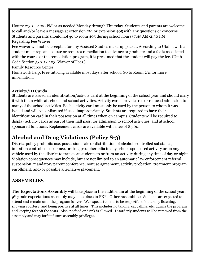Hours: 2:30 – 4:00 PM or as needed Monday through Thursday. Students and parents are welcome to call and/or leave a message at extension 261 or extension 405 with any questions or concerns. Students and parents should not go to room 405 during school hours (7:45 AM-2:30 PM). Regarding Fee Waiver

Fee waiver will not be accepted for any Assisted Studies make-up packet. According to Utah law: If a student must repeat a course or requires remediation to advance or graduate and a fee is associated with the course or the remediation program, it is presumed that the student will pay the fee. (Utah Code Section 53A-12-103. Waiver of Fees.)

Family Resource Center

Homework help, Free tutoring available most days after school. Go to Room 231 for more information.

#### **Activity/ID Cards**

Students are issued an identification/activity card at the beginning of the school year and should carry it with them while at school and school activities. Activity cards provide free or reduced admission to many of the school activities. Each activity card must only be used by the person to whom it was issued and will be confiscated if used inappropriately. Students are required to have their identification card in their possession at all times when on campus. Students will be required to display activity cards as part of their hall pass, for admission to school activities, and at school sponsored functions. Replacement cards are available with a fee of \$5.00.

# **Alcohol and Drug Violations (Policy S-3)**

District policy prohibits use, possession, sale or distribution of alcohol, controlled substance, imitation controlled substance, or drug paraphernalia in any school-sponsored activity or on any vehicle used by the district to transport students to or from an activity during any time of day or night. Violation consequences may include, but are not limited to an automatic law enforcement referral, suspension, mandatory parent conference, nonuse agreement, activity probation, treatment program enrollment, and/or possible alternative placement.

# **ASSEMBLIES**

**The Expectations Assembly** will take place in the auditorium at the beginning of the school year. 9th grade expectations assembly may take place in PXP. Other Assemblies: Students are expected to attend and remain until the program is over. We expect students to be respectful of others by listening, showing courtesy, and being positive at all times. This includes no talking, cat calling, etc. during the program and keeping feet off the seats. Also, no food or drink is allowed. Disorderly students will be removed from the assembly and may forfeit future assembly privileges.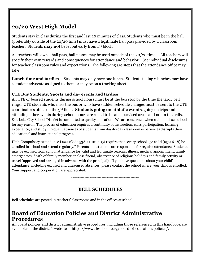# **20/20 West High Model**

Students stay in class during the first and last 20 minutes of class. Students who must be in the hall (preferably outside of the 20/20 time) must have a legitimate hall pass provided by a classroom teacher. Students **may not** be let out early from 4th block.

All teachers will own a hall pass, hall passes may be used outside of the 20/20 time. All teachers will specify their own rewards and consequences for attendance and behavior. See individual disclosures for teacher classroom rules and expectations. The following are steps that the attendance office may take

**Lunch time and tardies –** Students may only have one lunch. Students taking 2 lunches may have a student advocate assigned to them or may be on a tracking sheet.

#### **CTE Bus Students, Sports and day events and tardies**

All CTE or bussed students during school hours must be at the bus stop by the time the tardy bell rings. CTE students who miss the bus or who have sudden schedule changes must be sent to the CTE coordinator's office on the 3rd floor. **Students going on athletic events**, going on trips and attending other events during school hours are asked to be at supervised areas and not in the halls. Salt Lake City School District is committed to quality education. We are concerned when a child misses school for any reason. The process of education requires a continuity of instruction, class participation, learning experience, and study. Frequent absences of students from day-to-day classroom experiences disrupts their educational and instructional progress.

Utah Compulsory Attendance Laws (Code 53A-11-101-105) require that "every school age child (ages 6-18) be enrolled in school and attend regularly." Parents and students are responsible for regular attendance. Students may be excused from school attendance for valid and legitimate reasons: illness, medical appointment, family emergencies, death of family member or close friend, observance of religious holidays and family activity or travel (approved and arranged in advance with the principal). If you have questions about your child's attendance, including excused and unexcused absences, please contact the school where your child is enrolled. Your support and cooperation are appreciated.

\*\*\*\*\*\*\*\*\*\*\*\*\*\*\*\*\*\*\*\*\*\*\*\*\*\*\*\*\*\*\*\*\*\*\*\*\*\*\*\*

# **BELL SCHEDULES**

Bell schedules are posted in teachers' classrooms and in the offices at school.

# **Board of Education Policies and District Administrative Procedures**

All board policies and district administrative procedures, including those referenced in this handbook are available on the district's website at https://www.slcschools.org/board-of-education/policies/.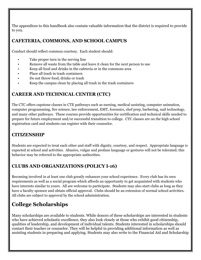The appendices to this handbook also contain valuable information that the district is required to provide to you.

#### **CAFETERIA, COMMONS, AND SCHOOL CAMPUS**

Conduct should reflect common courtesy. Each student should:

- Take proper turn in the serving line
- Remove all waste from the table and leave it clean for the next person to use
- Keep all food and drinks in the cafeteria or in the commons area
- Place all trash in trash containers
- Do not throw food, drinks or trash
- Keep the campus clean by placing all trash in the trash containers

#### **CAREER AND TECHNICAL CENTER (CTC)**

The CTC offers capstone classes in CTE pathways such as nursing, medical assisting, computer animation, computer programming, fire science, law enforcement, EMT, forensics, chef prep, barbering, nail technology, and many other pathways. These courses provide opportunities for certification and technical skills needed to prepare for future employment and/or successful transition to college. CTC classes are on the high school registration card and students can register with their counselor.

#### **CITIZENSHIP**

Students are expected to treat each other and staff with dignity, courtesy, and respect. Appropriate language is expected at school and activities. Abusive, vulgar and profane language or gestures will not be tolerated; this behavior may be referred to the appropriate authorities.

#### **CLUBS AND ORGANIZATIONS (POLICY I-16)**

Becoming involved in at least one club greatly enhances your school experience. Every club has its own requirements as well as a social program which affords an opportunity to get acquainted with students who have interests similar to yours. All are welcome to participate. Students may also start clubs as long as they have a faculty sponsor and obtain official approval. Clubs should be an extension of normal school activities. All clubs are subject to approval by the school administration.

# **College Scholarships**

Many scholarships are available to students. While donors of these scholarships are interested in students who have achieved scholastic excellence, they also look closely at those who exhibit good citizenship, qualities of leadership, and development of individual talents. Students interested in scholarships should contact their teacher or counselor. They will be helpful in providing additional information as well as assisting students in preparing and applying. Students may also write to the Financial Aid and Scholarship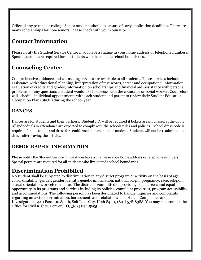Office of any particular college. Senior students should be aware of early application deadlines. There are many scholarships for non-seniors. Please check with your counselor.

# **Contact Information**

Please notify the Student Service Center if you have a change in your home address or telephone numbers. Special permits are required for all students who live outside school boundaries.

# **Counseling Center**

Comprehensive guidance and counseling services are available to all students. These services include assistance with educational planning, interpretation of test scores, career and occupational information, evaluation of credits and grades, information on scholarships and financial aid, assistance with personal problems, or any questions a student would like to discuss with the counselor or social worker. Counselors will schedule individual appointments with each student and parent to review their Student Education Occupation Plan (SEOP) during the school year.

#### **DANCES**

Dances are for students and their partners. Student I.D. will be required if tickets are purchased at the door. All individuals in attendance are expected to comply with the schools rules and policies. School dress code is required for all stomps and dress for semiformal dances must be modest. Students will not be readmitted to a dance after leaving the activity.

# **DEMOGRAPHIC INFORMATION**

Please notify the Student Service Office if you have a change in your home address or telephone numbers. Special permits are required for all students who live outside school boundaries.

# **Discrimination Prohibited**

No student shall be subjected to discrimination in any district program or activity on the basis of age, color, disability, gender, gender identity, genetic information, national origin, pregnancy, race, religion, sexual orientation, or veteran status. The district is committed to providing equal access and equal opportunity in its programs and services including its policies, complaint processes, program accessibility, and accommodations. The following person has been designated to handle inquiries and complaints regarding unlawful discrimination, harassment, and retaliation: Tina Hatch, Compliance and Investigations, 440 East 100 South, Salt Lake City, Utah 84111, (801) 578-8388. You may also contact the Office for Civil Rights, Denver, CO, (303) 844-5695.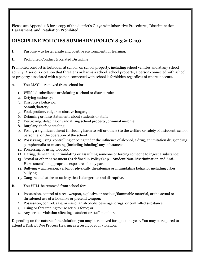Please see Appendix B for a copy of the district's G-19: Administrative Procedures, Discrimination, Harassment, and Retaliation Prohibited.

#### **DISCIPLINE POLICIES SUMMARY (POLICY S-3 & G-19)**

- I. Purpose to foster a safe and positive environment for learning.
- II. Prohibited Conduct & Related Discipline

Prohibited conduct is forbidden at school, on school property, including school vehicles and at any school activity. A serious violation that threatens or harms a school, school property, a person connected with school or property associated with a person connected with school is forbidden regardless of where it occurs.

- A. You MAY be removed from school for:
	- 1. Willful disobedience or violating a school or district rule;
	- 2. Defying authority;
	- 3. Disruptive behavior;
	- 4. Assault/battery;
	- 5. Foul, profane, vulgar or abusive language;
	- 6. Defaming or false statements about students or staff;
	- 7. Destroying, defacing or vandalizing school property; criminal mischief;
	- 8. Burglary, theft or stealing;
	- 9. Posing a significant threat (including harm to self or others) to the welfare or safety of a student, school personnel or the operation of the school;
	- 10. Possessing, using, controlling or being under the influence of alcohol, a drug, an imitation drug or drug paraphernalia or misusing (including inhaling) any substance;
	- 11. Possessing or using tobacco;
	- 12. Hazing, demeaning, intimidating or assaulting someone or forcing someone to ingest a substance;
	- 13. Sexual or other harassment (as defined in Policy G-19 Student Non-Discrimination and Anti-Harassment); inappropriate exposure of body parts;
	- 14. Bullying aggression, verbal or physically threatening or intimidating behavior including cyber bullying
	- 15. Gang-related attire or activity that is dangerous and disruptive.
- B. You WILL be removed from school for:
	- 1. Possession, control of a real weapon, explosive or noxious/flammable material, or the actual or threatened use of a lookalike or pretend weapon;
	- 2. Possession, control, sale, or use of an alcoholic beverage, drugs, or controlled substance;
	- 3. Using or threatening to use serious force; or
	- 4. Any serious violation affecting a student or staff member.

Depending on the nature of the violation, you may be removed for up to one year. You may be required to attend a District Due Process Hearing as a result of your violation.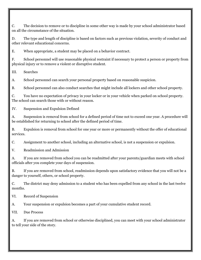C. The decision to remove or to discipline in some other way is made by your school administrator based on all the circumstance of the situation.

D. The type and length of discipline is based on factors such as previous violation, severity of conduct and other relevant educational concerns.

E. When appropriate, a student may be placed on a behavior contract.

F. School personnel will use reasonable physical restraint if necessary to protect a person or property from physical injury or to remove a violent or disruptive student.

III. Searches

A. School personnel can search your personal property based on reasonable suspicion.

B. School personnel can also conduct searches that might include all lockers and other school property.

C. You have no expectation of privacy in your locker or in your vehicle when parked on school property. The school can search those with or without reason.

IV. Suspension and Expulsion Defined

A. Suspension is removal from school for a defined period of time not to exceed one year. A procedure will be established for returning to school after the defined period of time.

B. Expulsion is removal from school for one year or more or permanently without the offer of educational services.

C. Assignment to another school, including an alternative school, is not a suspension or expulsion.

V. Readmission and Admission

A. If you are removed from school you can be readmitted after your parents/guardian meets with school officials after you complete your days of suspension.

B. If you are removed from school, readmission depends upon satisfactory evidence that you will not be a danger to yourself, others, or school property.

C. The district may deny admission to a student who has been expelled from any school in the last twelve months.

VI. Record of Suspension

A. Your suspension or expulsion becomes a part of your cumulative student record.

VII. Due Process

A. If you are removed from school or otherwise disciplined, you can meet with your school administrator to tell your side of the story.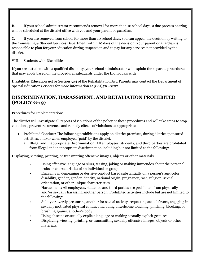B. If your school administrator recommends removal for more than 10 school days, a due process hearing will be scheduled at the district office with you and your parent or guardian.

C. If you are removed from school for more than 10 school days, you can appeal the decision by writing to the Counseling & Student Services Department within 10 days of the decision. Your parent or guardian is responsible to plan for your education during suspension and to pay for any services not provided by the district.

VIII. Students with Disabilities

If you are a student with a qualified disability, your school administrator will explain the separate procedures that may apply based on the procedural safeguards under the Individuals with

Disabilities Education Act or Section 504 of the Rehabilitation Act. Parents may contact the Department of Special Education Services for more information at (801)578-8202.

#### **DISCRIMINATION, HARASSMENT, AND RETALIATION PROHIBITED (POLICY G-19)**

Procedures for Implementation:

The district will investigate all reports of violations of the policy or these procedures and will take steps to stop violations, prevent recurrence, and remedy effects of violations as appropriate.

- 1. Prohibited Conduct: The following prohibitions apply on district premises, during district sponsored activities, and/or when employed (paid) by the district.
	- a. Illegal and Inappropriate Discrimination: All employees, students, and third parties are prohibited from illegal and inappropriate discrimination including but not limited to the following:

Displaying, viewing, printing, or transmitting offensive images, objects or other materials.

- Using offensive language or slurs, teasing, joking or making innuendos about the personal traits or characteristics of an individual or group.
- Engaging in demeaning or derisive conduct based substantially on a person's age, color, disability, gender, gender identity, national origin, pregnancy, race, religion, sexual orientation, or other unique characteristics.

Harassment: All employees, students, and third parties are prohibited from physically and/or sexually harassing another person. Prohibited activities include but are not limited to the following:

- Subtly or overtly pressuring another for sexual activity, requesting sexual favors, engaging in sexually motivated physical conduct including unwelcome touching, pinching, blocking, or brushing against another's body.
- Using obscene or sexually explicit language or making sexually explicit gestures.
- Displaying, viewing, printing, or transmitting sexually offensive images, objects or other materials.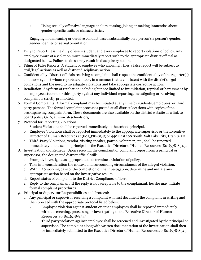• Using sexually offensive language or slurs, teasing, joking or making innuendos about gender-specific traits or characteristics.

Engaging in demeaning or derisive conduct based substantially on a person's a person's gender, gender identity or sexual orientation.

- 2. Duty to Report: It is the duty of every student and every employee to report violations of policy. Any employee aware of a violation must immediately report such to the appropriate district official as designated below. Failure to do so may result in disciplinary action.
- 3. Filing of False Reports: A student or employee who knowingly files a false report will be subject to civil/legal actions as well as district disciplinary action.
- 4. Confidentiality: District officials receiving a complaint shall respect the confidentiality of the reporter(s) and those against whom reports are made, in a manner that is consistent with the district's legal obligations and the need to investigate violations and take appropriate corrective action.
- 5. Retaliation: Any form of retaliation including but not limited to intimidation, reprisal or harassment by an employee, student, or third party against any individual reporting, investigating or resolving a complaint is strictly prohibited.
- 6. Formal Complaints: A formal complaint may be initiated at any time by students, employees, or third party persons. The formal complaint process is posted at all district locations with copies of the accompanying complain form. These documents are also available on the district website as a link to board policy G-19, at www.slcschools.org.
- 7. Protocol for Reporting Violations:
	- a. Student Violations shall be reported immediately to the school principal.
	- b. Employee Violations shall be reported immediately to the appropriate supervisor or the Executive Director of Human Resources at (801)578-8343 or 440 East 100 South, Salt Lake City, Utah 84111.
	- c. Third-Party Violations, vendor, visiting speaker, patron, volunteer, etc., shall be reported immediately to the school principal or the Executive Director of Human Resources (801)578-8343.
- 8. Investigation and Remedy: Upon receiving the complaint or complaint report from a principal or supervisor, the designated district official will:
	- a. Promptly investigate as appropriate to determine a violation of policy.
	- b. Take into consideration the context and surrounding circumstances of the alleged violation.
	- c. Within 20 working days of the completion of the investigation, determine and initiate any appropriate action based on the investigative results.
	- d. Report status of complaint to the District Compliance officer.
	- e. Reply to the complainant. If the reply is not acceptable to the complainant, he/she may initiate formal complaint procedures.
- 9. Principal or Supervisor Responsibilities and Protocol:
	- a. Any principal or supervisor receiving a complaint will first document the complaint in writing and then proceed with the appropriate protocol listed below:
		- Employee violation against student or other employees shall be reported immediately without screening, processing or investigating to the Executive Director of Human Resources at (801)578-8343.
		- Third party violation against employee shall be screened and investigated by the principal or supervisor. The complaint along with written documentation of the investigation shall then be immediately submitted to the Executive Director of Human Resources at (801)578-8343.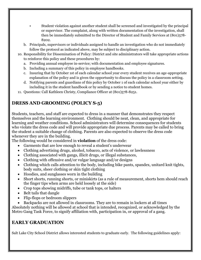- Student violation against another student shall be screened and investigated by the principal or supervisor. The complaint, along with written documentation of the investigation, shall then be immediately submitted to the Director of Student and Family Services at (801)578-8202.
- b. Principals, supervisors or individuals assigned to handle an investigation who do not immediately follow the protocol as indicated above, may be subject to disciplinary action.
- 10. Responsibility for Dissemination of Policy: District and site administrators will take appropriate actions to reinforce this policy and these procedures by:
	- a. Providing annual employee in-service; with documentation and employee signatures.
	- b. Including a summary of this policy in employee handbooks.
	- c. Insuring that by October 1st of each calendar school year every student receives an age-appropriate explanation of the policy and is given the opportunity to discuss the policy in a classroom setting.
	- d. Notifying parents and guardians of this policy by October 1 of each calendar school year either by including it in the student handbook or by sending a notice to student homes.
- 11. Questions: Call Kathleen Christy, Compliance Officer at (801)578-8251.

# **DRESS AND GROOMING (POLICY S-5)**

Students, teachers, and staff are expected to dress in a manner that demonstrates they respect themselves and the learning environment. Clothing should be neat, clean, and appropriate for learning and weather conditions. School administrators will determine consequences for students who violate the dress code and will provide appropriate due process. Parents may be called to bring the student a suitable change of clothing. Parents are also expected to observe the dress code whenever they are in the building.

The following would be considered in **violation** of the dress code:

- Garments that are low enough to reveal a student's underwear
- Clothing advertising drugs, alcohol, tobacco, acts of violence, or lawlessness
- Clothing associated with gangs, illicit drugs, or illegal substances,
- Clothing with offensive and/or vulgar language and/or designs
- Clothing which calls attention to the body, including bike pants, spandex, unitard knit tights, body suits, sheer clothing or skin tight clothing
- Hoodies, and sunglasses worn in the building
- Short shorts, running shorts, or miniskirts (as a rule of measurement, shorts hem should reach the finger tips when arms are held loosely at the side)
- Crop tops showing midriffs, tube or tank tops, or halters
- Belt tails that dangle
- Flip-flops or bedroom slippers
- Backpacks are not allowed in classrooms. They are to remain in lockers at all times

Absolutely nothing will be allowed at school that is intended, recognized, or acknowledged by the Metro Gang Task Force, to signify affiliation with, participation in, or approval of a gang.

#### **EARLY GRADUATION**

Salt Lake City School District allows interested students to graduate early. The following guidelines apply: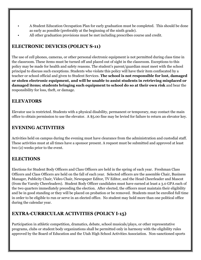- A Student Education Occupation Plan for early graduation must be completed. This should be done as early as possible (preferably at the beginning of the ninth grade).
- All other graduation provisions must be met including prescribes course and credit.

#### **ELECTRONIC DEVICES (POLICY S-11)**

The use of cell phones, cameras, or other personal electronic equipment is not permitted during class time in the classroom. These items must be turned off and placed out of sight in the classroom. Exceptions to this policy may be made for health and safety reasons. The student's parent/guardian must meet with the school principal to discuss such exceptions. Students who violate this policy will have their item confiscated by a teacher or school official and given to Student Services. **The school is not responsible for lost, damaged or stolen electronic equipment, and will be unable to assist students in retrieving misplaced or damaged items; students bringing such equipment to school do so at their own risk** and bear the responsibility for loss, theft, or damage.

#### **ELEVATORS**

Elevator use is restricted. Students with a physical disability, permanent or temporary, may contact the main office to obtain permission to use the elevator. A \$5.00 fine may be levied for failure to return an elevator key.

#### **EVENING ACTIVITIES**

Activities held on campus during the evening must have clearance from the administration and custodial staff. These activities must at all times have a sponsor present. A request must be submitted and approved at least two (2) weeks prior to the event.

#### **ELECTIONS**

Elections for Student Body Officers and Class Officers are held in the spring of each year. Freshman Class Officers and Class Officers are held on the fall of each year. Selected officers are the assemble Chair, Business Manager, Publicity Chair, Video Chair, Newspaper Editor, TV Editor, and the Head Cheerleader and Mascot (from the Varsity Cheerleaders). Student Body Officer candidates must have earned at least a 3.0 GPA each of the two quarters immediately preceding the election. After elected, the officers must maintain their eligibility and be in good standing or they will be placed on probation or be removed. Students must be enrolled full time in order to be eligible to run or serve in an elected office. No student may hold more than one political office during the calendar year.

#### **EXTRA-CURRICULAR ACTIVITIES (POLICY I-15)**

Participation in athletic competition, dramatics, debate, school musicals/plays, or other representative programs, clubs or student body organizations shall be permitted only in harmony with the eligibility rules approved by the Board of Education and the Utah High School Activities Association. Non-sanctioned sports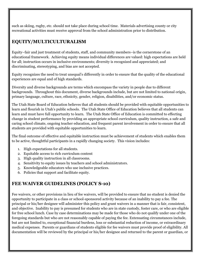such as skiing, rugby, etc. should not take place during school time. Materials advertising county or city recreational activities must receive approval from the school administration prior to distribution.

#### **EQUITY/MULTICULTURALISM**

Equity–fair and just treatment of students, staff, and community members–is the cornerstone of an educational framework. Achieving equity means individual differences are valued: high expectations are held for all; instruction occurs in inclusive environments; diversity is recognized and appreciated; and discriminating, stereotyping, and bias are not accepted.

Equity recognizes the need to treat unequal's differently in order to ensure that the quality of the educational experiences are equal and of high standards.

Diversity and diverse backgrounds are terms which encompass the variety in people due to different backgrounds. Throughout this document, diverse backgrounds include, but are not limited to national origin, primary language, culture, race, ethnicity, gender, religion, disabilities, and/or economic status.

The Utah State Board of Education believes that all students should be provided with equitable opportunities to learn and flourish in Utah's public schools. The Utah State Office of Education believes that all students can learn and must have full opportunity to learn. The Utah State Office of Education is committed to effecting change in student performance by providing an appropriate school curriculum, quality instruction, a safe and caring school climate, ongoing teacher education, and frequent parent involvement in order to ensure that all students are provided with equitable opportunities to learn.

The final outcome of effective and equitable instruction must be achievement of students which enables them to be active, thoughtful participants in a rapidly changing society. This vision includes:

- 1. High expectations for all students.
- 2. Equitable access to rich curriculum content
- 3. High quality instruction in all classrooms.
- 4. Sensitivity to equity issues by teachers and school administrators.
- 5. Knowledgeable educators who use inclusive practices.
- 6. Policies that support and facilitate equity.

# **FEE WAIVER GUIDELINES (POLICY S-10)**

Fee waivers, or other provisions in lieu of fee waivers, will be provided to ensure that no student is denied the opportunity to participate in a class or school-sponsored activity because of an inability to pay a fee. The principal or his/her designee will administer this policy and grant waivers in a manner that is fair, consistent, and objective. Inability to pay is presumed for students who are in state custody, foster care, or who are eligible for free school lunch. Case by case determinations may be made for those who do not qualify under one of the foregoing standards but who are not reasonably capable of paying the fee. Extenuating circumstances include, but are not limited to, exceptional financial burdens, loss or substantial reduction of income, or extraordinary medical expenses. Parents or guardians of students eligible for fee waivers must provide proof of eligibility. All documentation will be reviewed by the principal or his/her designee and returned to the parent or guardian, or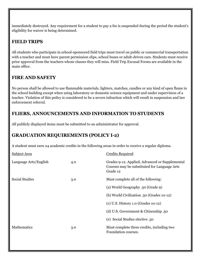immediately destroyed. Any requirement for a student to pay a fee is suspended during the period the student's eligibility for waiver is being determined.

#### **FIELD TRIPS**

All students who participate in school-sponsored field trips must travel on public or commercial transportation with a teacher and must have parent permission slips, school buses or adult-driven cars. Students must receive prior approval from the teachers whose classes they will miss. Field Trip Excusal Forms are available in the main office.

#### **FIRE AND SAFETY**

No person shall be allowed to use flammable materials, lighters, matches, candles or any kind of open flame in the school building except when using laboratory or domestic science equipment and under supervision of a teacher. Violation of this policy is considered to be a severe infraction which will result in suspension and law enforcement referral.

#### **FLIERS, ANNOUNCEMENTS AND INFORMATION TO STUDENTS**

All publicly displayed items must be submitted to an administrator for approval.

#### **GRADUATION REQUIREMENTS (POLICY I-2)**

A student must earn 24 academic credits in the following areas in order to receive a regular diploma.

| <b>Subject Area</b>   |     | <b>Credits Required</b>                                                                                    |  |
|-----------------------|-----|------------------------------------------------------------------------------------------------------------|--|
| Language Arts/English | 4.0 | Grades 9-12. Applied, Advanced or Supplemental<br>Courses may be substituted for Language Arts<br>Grade 12 |  |
| <b>Social Studies</b> | 3.0 | Must complete all of the following:                                                                        |  |
|                       |     | (a) World Geography .50 (Grade 9)                                                                          |  |
|                       |     | (b) World Civilization .50 (Grades 10-12)                                                                  |  |
|                       |     | (c) U.S. History 1.0 (Grades 10-12)                                                                        |  |
|                       |     | (d) U.S. Government & Citizenship .50                                                                      |  |
|                       |     | (e) Social Studies elective .50                                                                            |  |
| <b>Mathematics</b>    | 3.0 | Must complete three credits, including two<br>Foundation courses.                                          |  |
|                       |     |                                                                                                            |  |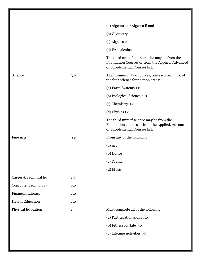|                            |     | (a) Algebra 1 or Algebra B and                                                                                                     |
|----------------------------|-----|------------------------------------------------------------------------------------------------------------------------------------|
|                            |     | (b) Geometry                                                                                                                       |
|                            |     | (c) Algebra 2                                                                                                                      |
|                            |     | (d) Pre-calculus                                                                                                                   |
|                            |     | The third unit of mathematics may be from the<br>Foundation Courses or from the Applied, Advanced<br>or Supplemental Courses list. |
| Science                    | 3.0 | At a minimum, two courses, one each from two of<br>the four science foundation areas:                                              |
|                            |     | (a) Earth Systems 1.0                                                                                                              |
|                            |     | (b) Biological Science 1.0                                                                                                         |
|                            |     | (c) Chemistry 1.0                                                                                                                  |
|                            |     | $(d)$ Physics 1.0                                                                                                                  |
|                            |     | The third unit of science may be from the<br>Foundation courses or from the Applied, Advanced<br>or Supplemental Courses list.     |
| <b>Fine Arts</b>           | 1.5 | From any of the following:                                                                                                         |
|                            |     | $(a)$ Art                                                                                                                          |
|                            |     | (b) Dance                                                                                                                          |
|                            |     | (c) Drama                                                                                                                          |
|                            |     | (d) Music                                                                                                                          |
| Career & Technical Ed.     | 1.0 |                                                                                                                                    |
| <b>Computer Technology</b> | .50 |                                                                                                                                    |
| Financial Literacy         | .50 |                                                                                                                                    |
| <b>Health Education</b>    | .50 |                                                                                                                                    |
| Physical Education         | 1.5 | Must complete all of the following:                                                                                                |
|                            |     | (a) Participation Skills .50                                                                                                       |
|                            |     | (b) Fitness for Life .50                                                                                                           |
|                            |     | (c) Lifetime Activities .50                                                                                                        |
|                            |     |                                                                                                                                    |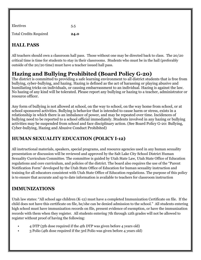| Electives                     | 5.5  |
|-------------------------------|------|
| <b>Total Credits Required</b> | 24.0 |

# **HALL PASS**

All teachers should own a classroom hall pass. Those without one may be directed back to class. The 20/20 critical time is time for students to stay in their classrooms. Students who must be in the hall (preferably outside of the 20/20 time) must have a teacher issued hall pass.

# **Hazing and Bullying Prohibited (Board Policy G-20)**

The district is committed to providing a safe learning environment to all district students that is free from bullying, cyber-bullying, and hazing. Hazing is defined as the act of harassing or playing abusive and humiliating tricks on individuals, or causing embarrassment to an individual. Hazing is against the law. No hazing of any kind will be tolerated. Please report any bullying or hazing to a teacher, administrator or resource officer.

Any form of bullying is not allowed at school, on the way to school, on the way home from school, or at school sponsored activities. Bullying is behavior that is intended to cause harm or stress, exists in a relationship in which there is an imbalance of power, and may be repeated over time. Incidences of bullying need to be reported to a school official immediately. Students involved in any hazing or bullying activities may be suspended from school and face disciplinary action. (See Board Policy G-20: Bullying, Cyber-bullying, Hazing and Abusive Conduct Prohibited)

# **HUMAN SEXUALITY EDUCATION (POLICY I-12)**

All instructional materials, speakers, special programs, and resource agencies used in any human sexuality presentation or discussion will be reviewed and approved by the Salt Lake City School District Human Sexuality Curriculum Committee. The committee is guided by Utah State Law, Utah State Office of Education regulations and core curriculum, and policies of the district. The board also requires the use of the "Parent Notification Form" developed by the Utah State Office of Education for human sexuality instruction and training for all educators consistent with Utah State Office of Education regulations. The purpose of this policy is to ensure that accurate and up to date information is available to teachers for classroom instruction

# **IMMUNIZATIONS**

Utah law states: "All school age children (K-12) must have a completed Immunization Certificate on file. If the child does not have this certificate on file, he/she can be denied admission to the school." All students entering high school must have immunization records on file, present evidence of exemption, or have the immunization records with them when they register. All students entering 7th through 12th grades will not be allowed to register without proof of having the following:

- 4 DTP (5th dose required if the 4th DTP was given before 4 years old)
- 3 Polio (4th dose required if the 3rd Polio was given before 4 years old)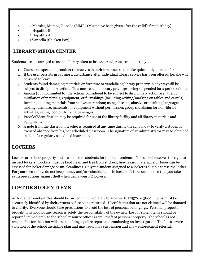- 2 Measles, Mumps, Rubella (MMR) (Must have been given after the child's first birthday)
- 3 Hepatitis B
- 2 Hepatitis A
- 1 Varicella (Chicken Pox)

#### **LIBRARY/MEDIA CENTER**

Students are encouraged to use the library often to browse, read, research, and study.

- 1. Users are expected to conduct themselves in such a manner as to make quiet study possible for all.
- 2. If the user persists in causing a disturbance after individual library service has been offered, he/she will be asked to leave.
- 3. Students found damaging materials or furniture or vandalizing library property in any way will be subject to disciplinary action. This may result in library privileges being suspended for a period of time.
- 4. Among (but not limited to) the actions considered to be subject to disciplinary action are: theft or mutilation of materials, equipment, or furnishings (including writing/marking on tables and carrels). Running; pulling materials from shelves at random; using obscene, abusive or insulting language; moving furniture, materials, or equipment without permission; group socializing for non-library activities; eating food or drinking beverages.
- 5. Proof of identification may be required for use of the library facility and all library materials and equipment.
- 6. A note from the classroom teacher is required at any time during the school day to verify a student's excused absence from his/her scheduled classroom. The signature of an administrator may be obtained in lieu of a regularly scheduled instructor.

#### **LOCKERS**

Lockers are school property and are loaned to students for their convenience. The school reserves the right to inspect lockers. Lockers must be kept clean and free from stickers, fire-hazard material, etc. Fines can be assessed for locker damage or un-cleanliness. Only the student assigned to a locker is eligible to use the locker. For your own safety, do not keep money and/or valuable items in lockers. It is recommended that you take extra precautions against theft when using your PE lockers.

#### **LOST OR STOLEN ITEMS**

All lost and found articles should be turned in immediately to security Ext 2570 or 3860. Items must be accurately identified by their owners before being returned. Useful items that are not claimed will be donated to charity. Everyone should take precautions to avoid the loss of personal belongings. Personal property brought to school for any reason is solely the responsibility of the owner. Lost or stolen items should be reported immediately to the school resource officer as well theft of personal property. The school is not responsible for theft but will assist in filing a police report and conducting an investigation. Theft is a severe violation of the school discipline plan and may result in a suspension and a law enforcement referral.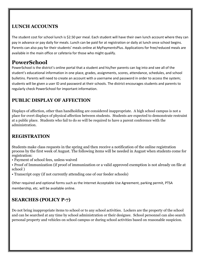#### **LUNCH ACCOUNTS**

The student cost for school lunch is \$2.50 per meal. Each student will have their own lunch account where they can pay in advance or pay daily for meals. Lunch can be paid for at registration or daily at lunch once school begins. Parents can also pay for their students' meals online at MyPaymentsPlus. Applications for free/reduced meals are available in the main office or cafeteria for those who might qualify.

# **PowerSchool**

PowerSchool is the district's online portal that a student and his/her parents can log into and see all of the student's educational information in one place, grades, assignments, scores, attendance, schedules, and school bulletins. Parents will need to create an account with a username and password in order to access the system; students will be given a user ID and password at their schools. The district encourages students and parents to regularly check PowerSchool for important information.

# **PUBLIC DISPLAY OF AFFECTION**

Displays of affection, other than handholding are considered inappropriate. A high school campus is not a place for overt displays of physical affection between students. Students are expected to demonstrate restraint at a public place. Students who fail to do so will be required to have a parent conference with the administration.

#### **REGISTRATION**

Students make class requests in the spring and then receive a notification of the online registration process by the first week of August. The following items will be needed in August when students come for registration:

• Payment of school fees, unless waived

• Proof of Immunization (if proof of immunization or a valid approved exemption is not already on file at school )

• Transcript copy (if not currently attending one of our feeder schools)

Other required and optional forms such as the Internet Acceptable Use Agreement, parking permit, PTSA membership, etc. will be available online.

# **SEARCHES (POLICY P-7)**

Do not bring inappropriate items to school or to any school activities. Lockers are the property of the school and can be searched at any time by school administration or their designee. School personnel can also search personal property and vehicles on school campus or during school activities based on reasonable suspicion.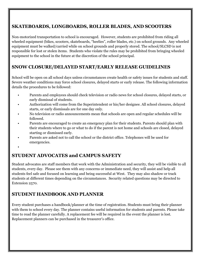#### **SKATEBOARDS, LONGBOARDS, ROLLER BLADES, AND SCOOTERS**

Non-motorized transportation to school is encouraged. However, students are prohibited from riding all wheeled equipment (bikes, scooters, skateboards, "heelies", roller blades, etc.) on school grounds. Any wheeled equipment must be walked/carried while on school grounds and properly stored. The school/SLCSD is not responsible for lost or stolen items. Students who violate the rules may be prohibited from bringing wheeled equipment to the school in the future at the discretion of the school principal.

#### **SNOW CLOSURE/DELAYED START/EARLY RELEASE GUIDELINES**

School will be open on all school days unless circumstances create health or safety issues for students and staff. Severe weather conditions may force school closures, delayed starts or early release. The following information details the procedures to be followed:

- Parents and employees should check television or radio news for school closures, delayed starts, or early dismissal of students.
- Authorization will come from the Superintendent or his/her designee. All school closures, delayed starts, or early dismissals are for one day only.
- No television or radio announcements mean that schools are open and regular schedules will be followed.
- Parents are encouraged to create an emergency plan for their students. Parents should plan with their students where to go or what to do if the parent is not home and schools are closed, delayed starting or dismissed early.
- Parents are asked not to call the school or the district office. Telephones will be used for emergencies.

•

#### **STUDENT ADVOCATES and CAMPUS SAFETY**

Student advocates are staff members that work with the Administration and security, they will be visible to all students, every day. Please see them with any concerns or immediate need, they will assist and help all students feel safe and focused on learning and being successful at West. They may also shadow or track students at different times depending on the circumstances. Security related questions may be directed to Extension 2570.

#### **STUDENT HANDBOOK AND PLANNER**

Every student purchases a handbook/planner at the time of registration. Students must bring their planner with them to school every day. The planner contains useful information for students and parents. Please take time to read the planner carefully. A replacement fee will be required in the event the planner is lost. Replacement planners can be purchased in the treasurer's office.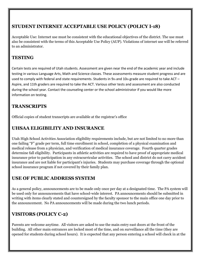#### **STUDENT INTERNET ACCEPTABLE USE POLICY (POLICY I-18)**

Acceptable Use: Internet use must be consistent with the educational objectives of the district. The use must also be consistent with the terms of this Acceptable Use Policy (AUP). Violations of internet use will be referred to an administrator.

#### **TESTING**

Certain tests are required of Utah students. Assessment are given near the end of the academic year and include testing in various Language Arts, Math and Science classes. These assessments measure student progress and are used to comply with federal and state requirements. Students in  $9<sub>th</sub>$  and  $10<sub>th</sub>$  grade are required to take ACT – Aspire, and 11th graders are required to take the ACT. Various other tests and assessment are also conducted during the school year. Contact the counseling center or the school administrator if you would like more information on testing.

#### **TRANSCRIPTS**

Official copies of student transcripts are available at the registrar's office

#### **UHSAA ELIGIBILITY AND INSURANCE**

Utah High School Activities Association eligibility requirements include, but are not limited to no more than one failing "F" grade per term, full time enrollment in school, completion of a physical examination and medical release from a physician, and verification of medical insurance coverage. Fourth quarter grades determine fall eligibility. Participants in athletic activities are required to have proof of appropriate medical insurance prior to participation in any extracurricular activities. The school and district do not carry accident insurance and are not liable for participant's injuries. Students may purchase coverage through the optional school insurance program if not covered by their family plan.

#### **USE OF PUBLIC ADDRESS SYSTEM**

As a general policy, announcements are to be made only once per day at a designated time. The PA system will be used only for announcements that have school-wide interest. PA announcements should be submitted in writing with items clearly stated and countersigned by the faculty sponsor to the main office one day prior to the announcement. No PA announcements will be made during the two lunch periods.

#### **VISITORS (POLICY C-2)**

Parents are welcome anytime. All visitors are asked to use the main entry east doors at the front of the building. All other main entrances are locked most of the time, and on surveillance all the time (they are opened for students during school hours). It is expected that any person entering a school will check in at the